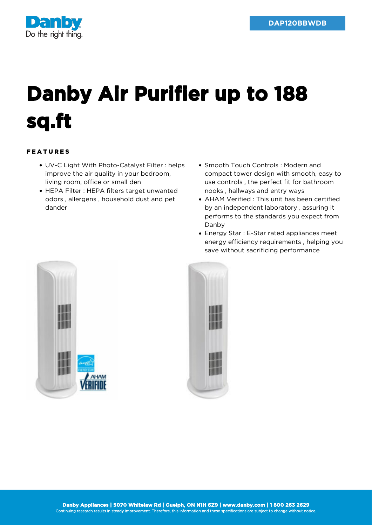

## **Danby Air Purifier up to 188 sq.ft**

## FEATURES

- UV-C Light With Photo-Catalyst Filter : helps improve the air quality in your bedroom, living room, office or small den
- HEPA Filter : HEPA filters target unwanted odors , allergens , household dust and pet dander
- Smooth Touch Controls: Modern and compact tower design with smooth, easy to use controls , the perfect fit for bathroom nooks , hallways and entry ways
- AHAM Verified : This unit has been certified by an independent laboratory , assuring it performs to the standards you expect from Danby
- Energy Star : E-Star rated appliances meet energy efficiency requirements , helping you save without sacrificing performance